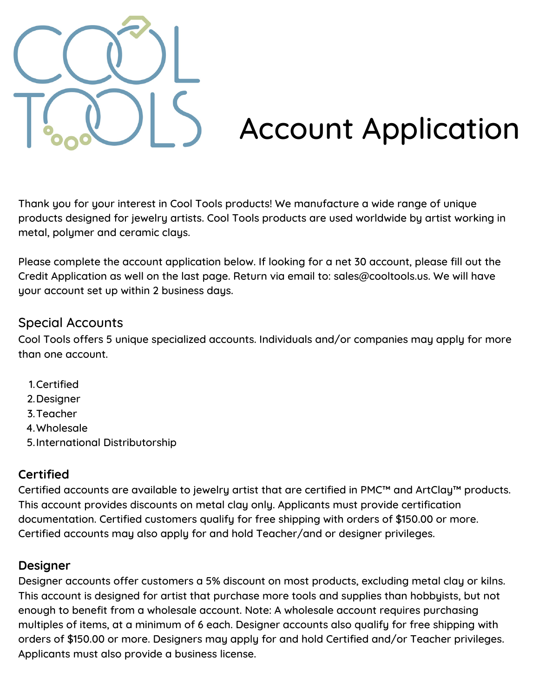

# Account Application

Thank you for your interest in Cool Tools products! We manufacture a wide range of unique products designed for jewelry artists. Cool Tools products are used worldwide by artist working in metal, polymer and ceramic clays.

Please complete the account application below. If looking for a net 30 account, please fill out the Credit Application as well on the last page. Return via email to: sales@cooltools.us. We will have your account set up within 2 business days.

#### Special Accounts

Cool Tools offers 5 unique specialized accounts. Individuals and/or companies may apply for more than one account.

- 1. Certified
- 2. Designer
- 3. Teacher
- Wholesale 4.
- 5. International Distributorship

#### **Certified**

Certified accounts are available to jewelry artist that are certified in PMC™ and ArtClay™ products. This account provides discounts on metal clay only. Applicants must provide certification documentation. Certified customers qualify for free shipping with orders of \$150.00 or more. Certified accounts may also apply for and hold Teacher/and or designer privileges.

#### **Designer**

Designer accounts offer customers a 5% discount on most products, excluding metal clay or kilns. This account is designed for artist that purchase more tools and supplies than hobbyists, but not enough to benefit from a wholesale account. Note: A wholesale account requires purchasing multiples of items, at a minimum of 6 each. Designer accounts also qualify for free shipping with orders of \$150.00 or more. Designers may apply for and hold Certified and/or Teacher privileges. Applicants must also provide a business license.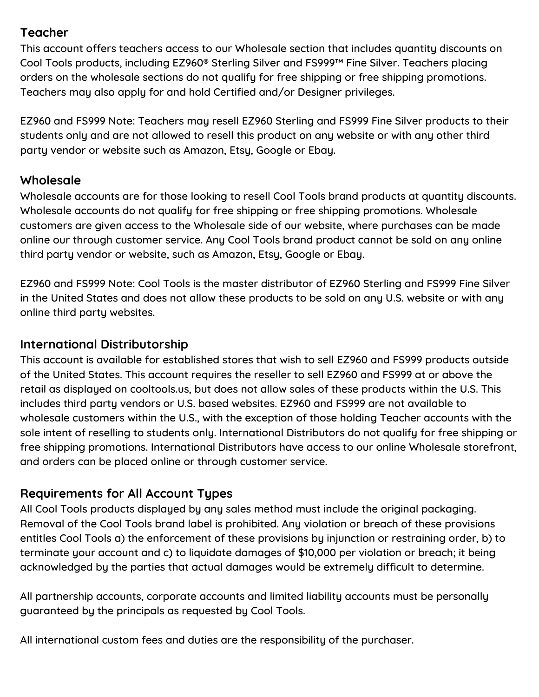#### **Teacher**

This account offers teachers access to our Wholesale section that includes quantity discounts on Cool Tools products, including EZ960® Sterling Silver and FS999™ Fine Silver. Teachers placing orders on the wholesale sections do not qualify for free shipping or free shipping promotions. Teachers may also apply for and hold Certified and/or Designer privileges.

EZ960 and FS999 Note: Teachers may resell EZ960 Sterling and FS999 Fine Silver products to their students only and are not allowed to resell this product on any website or with any other third party vendor or website such as Amazon, Etsy, Google or Ebay.

#### **Wholesale**

Wholesale accounts are for those looking to resell Cool Tools brand products at quantity discounts. Wholesale accounts do not qualifu for free shipping or free shipping promotions. Wholesale customers are given access to the Wholesale side of our website, where purchases can be made online our through customer service. Any Cool Tools brand product cannot be sold on any online third party vendor or website, such as Amazon, Etsy, Google or Ebay.

EZ960 and FS999 Note: Cool Tools is the master distributor of EZ960 Sterling and FS999 Fine Silver in the United States and does not allow these products to be sold on any U.S. website or with any online third party websites.

#### **International Distributorship**

This account is available for established stores that wish to sell EZ960 and FS999 products outside of the United States. This account requires the reseller to sell EZ960 and FS999 at or above the retail as displayed on cooltools.us, but does not allow sales of these products within the U.S. This includes third party vendors or U.S. based websites. EZ960 and FS999 are not available to wholesale customers within the U.S., with the exception of those holding Teacher accounts with the sole intent of reselling to students only. International Distributors do not qualify for free shipping or free shipping promotions. International Distributors have access to our online Wholesale storefront, and orders can be placed online or through customer service.

#### **Requirements for All Account Types**

All Cool Tools products displayed by any sales method must include the original packaging. Removal of the Cool Tools brand label is prohibited. Any violation or breach of these provisions entitles Cool Tools a) the enforcement of these provisions by injunction or restraining order, b) to terminate your account and c) to liquidate damages of \$10,000 per violation or breach; it being acknowledged by the parties that actual damages would be extremely difficult to determine.

All partnership accounts, corporate accounts and limited liability accounts must be personally guaranteed by the principals as requested by Cool Tools.

All international custom fees and duties are the responsibility of the purchaser.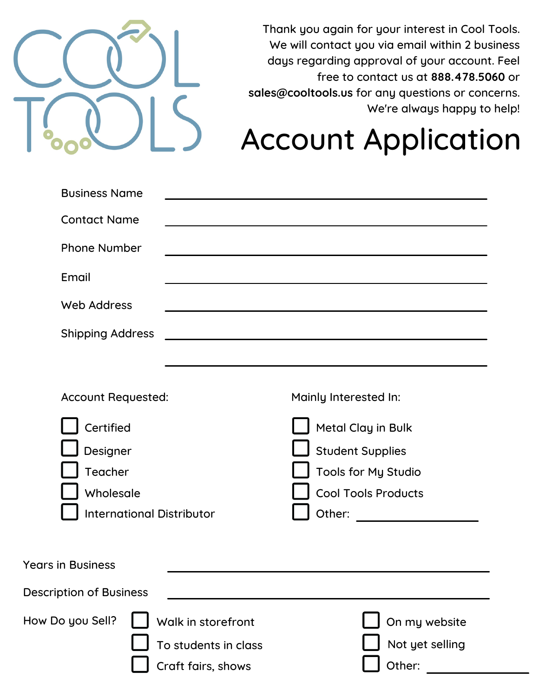

Thank you again for your interest in Cool Tools. We will contact you via email within 2 business days regarding approval of your account. Feel free to contact us at **888.478.5060** or **sales@cooltools.us** for any questions or concerns. We're always happy to help!

## Account Application

| <b>Business Name</b>                                                              |                                                                  |                                                                                                              |
|-----------------------------------------------------------------------------------|------------------------------------------------------------------|--------------------------------------------------------------------------------------------------------------|
| <b>Contact Name</b>                                                               |                                                                  |                                                                                                              |
| <b>Phone Number</b>                                                               |                                                                  | the contract of the contract of the contract of the contract of the contract of the contract of              |
| Email                                                                             |                                                                  |                                                                                                              |
| <b>Web Address</b>                                                                |                                                                  |                                                                                                              |
| <b>Shipping Address</b>                                                           |                                                                  |                                                                                                              |
|                                                                                   |                                                                  |                                                                                                              |
| <b>Account Requested:</b>                                                         |                                                                  | Mainly Interested In:                                                                                        |
| Certified<br>Designer<br>Teacher<br>Wholesale<br><b>International Distributor</b> |                                                                  | Metal Clay in Bulk<br><b>Student Supplies</b><br>Tools for My Studio<br><b>Cool Tools Products</b><br>Other: |
| <b>Years in Business</b>                                                          |                                                                  |                                                                                                              |
| <b>Description of Business</b>                                                    |                                                                  |                                                                                                              |
| How Do you Sell?                                                                  | Walk in storefront<br>To students in class<br>Craft fairs, shows | On my website<br>Not yet selling<br>Other:                                                                   |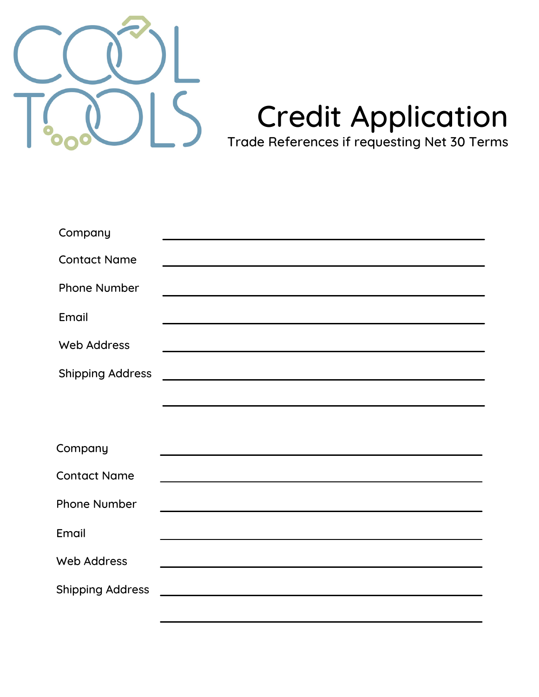

# Credit Application

Trade References if requesting Net 30 Terms

| Company                 |                                                                                                                                                                                                                               |
|-------------------------|-------------------------------------------------------------------------------------------------------------------------------------------------------------------------------------------------------------------------------|
| <b>Contact Name</b>     | <u> 1980 - Jan Samuel Barbara, martin a shekara tsara 1980 - An tsara 1980 - An tsara 1980 - An tsara 1980 - An t</u>                                                                                                         |
| <b>Phone Number</b>     | <u> 1989 - Johann John Stein, markin fizik eta idazlea (</u>                                                                                                                                                                  |
| Email                   | <u> 1980 - Johann Barbara, martxa alemaniar amerikan a</u>                                                                                                                                                                    |
| <b>Web Address</b>      | the control of the control of the control of the control of the control of the control of the control of the control of the control of the control of the control of the control of the control of the control of the control |
| <b>Shipping Address</b> |                                                                                                                                                                                                                               |
|                         |                                                                                                                                                                                                                               |
|                         |                                                                                                                                                                                                                               |
| Company                 | <u> 1980 - Johann John Stone, markin film yn y brening yn y brening yn y brening yn y brening y brening yn y bre</u>                                                                                                          |
| <b>Contact Name</b>     | and the control of the control of the control of the control of the control of the control of the control of the                                                                                                              |
| <b>Phone Number</b>     |                                                                                                                                                                                                                               |
| Email                   | <u> 1989 - Johann Stoff, amerikansk politiker (d. 1989)</u>                                                                                                                                                                   |
| <b>Web Address</b>      | <u> 1980 - Jan Sterling, marking and stationary and stationary and stationary and stationary and stationary and s</u>                                                                                                         |
| <b>Shipping Address</b> | <u> 1989 - Johann Harry Harry Harry Harry Harry Harry Harry Harry Harry Harry Harry Harry Harry Harry Harry Harry</u>                                                                                                         |